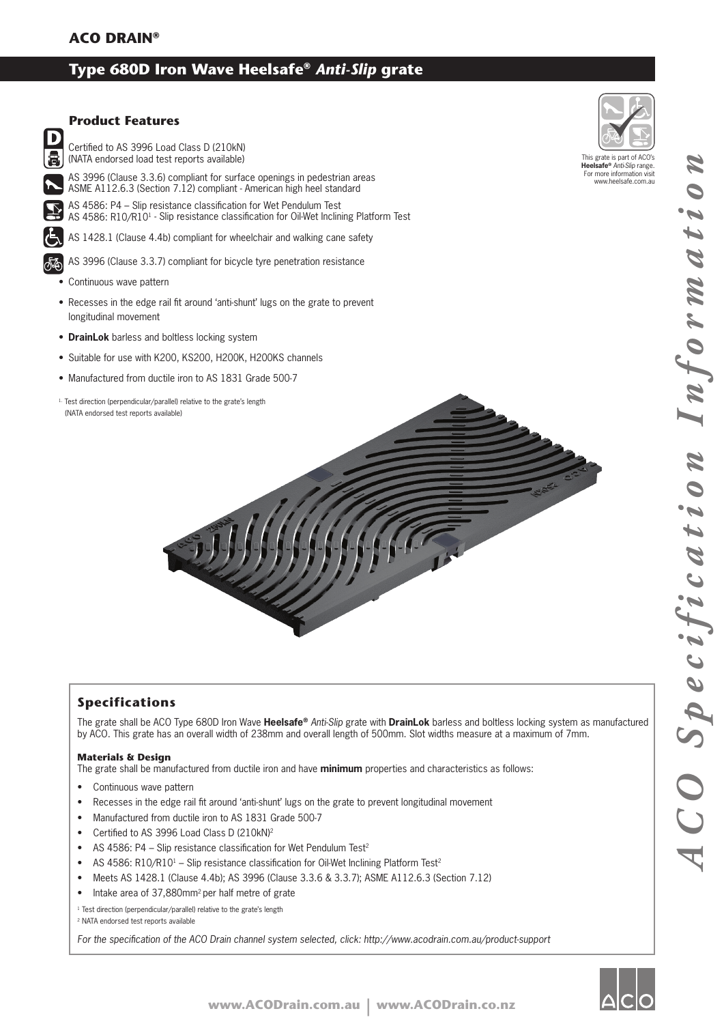# **Type 680D Iron Wave Heelsafe®** *Anti-Slip* **grate**



### **Specifications**

The grate shall be ACO Type 680D Iron Wave **Heelsafe®** *Anti-Slip* grate with **DrainLok** barless and boltless locking system as manufactured by ACO. This grate has an overall width of 238mm and overall length of 500mm. Slot widths measure at a maximum of 7mm.

#### **Materials & Design**

The grate shall be manufactured from ductile iron and have **minimum** properties and characteristics as follows:

- Continuous wave pattern
- Recesses in the edge rail fit around 'anti-shunt' lugs on the grate to prevent longitudinal movement
- Manufactured from ductile iron to AS 1831 Grade 500-7
- Certified to AS 3996 Load Class D (210kN)<sup>2</sup>
- AS 4586: P4 Slip resistance classification for Wet Pendulum Test<sup>2</sup>
- AS 4586: R10/R10<sup>1</sup> Slip resistance classification for Oil-Wet Inclining Platform Test<sup>2</sup>
- Meets AS 1428.1 (Clause 4.4b); AS 3996 (Clause 3.3.6 & 3.3.7); ASME A112.6.3 (Section 7.12)
- Intake area of 37,880mm<sup>2</sup> per half metre of grate

<sup>1</sup> Test direction (perpendicular/parallel) relative to the grate's length

2 NATA endorsed test reports available

For the specification of the ACO Drain channel system selected, click: http://www.acodrain.com.au/product-support



This grate is part of ACO's **Heelsafe®** *Anti-Slip* range. For more information visit www.heelsafe.com.au